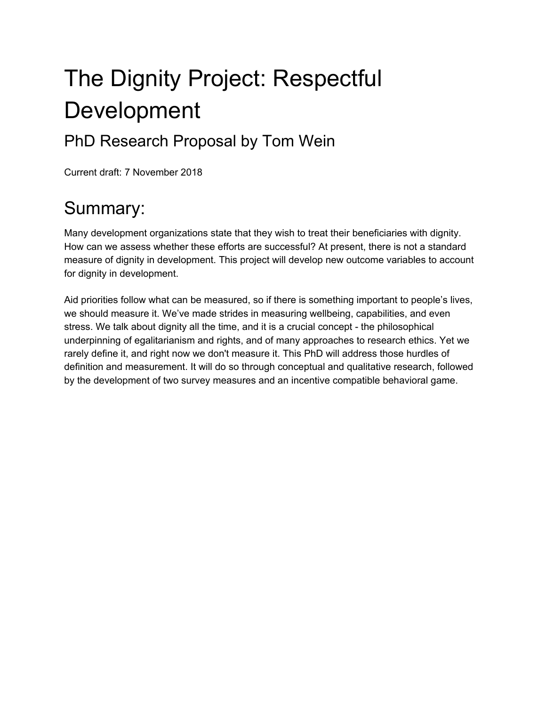# The Dignity Project: Respectful Development

### PhD Research Proposal by Tom Wein

<span id="page-0-0"></span>Current draft: 7 November 2018

## Summary:

Many development organizations state that they wish to treat their beneficiaries with dignity. How can we assess whether these efforts are successful? At present, there is not a standard measure of dignity in development. This project will develop new outcome variables to account for dignity in development.

Aid priorities follow what can be measured, so if there is something important to people's lives, we should measure it. We've made strides in measuring wellbeing, capabilities, and even stress. We talk about dignity all the time, and it is a crucial concept - the philosophical underpinning of egalitarianism and rights, and of many approaches to research ethics. Yet we rarely define it, and right now we don't measure it. This PhD will address those hurdles of definition and measurement. It will do so through conceptual and qualitative research, followed by the development of two survey measures and an incentive compatible behavioral game.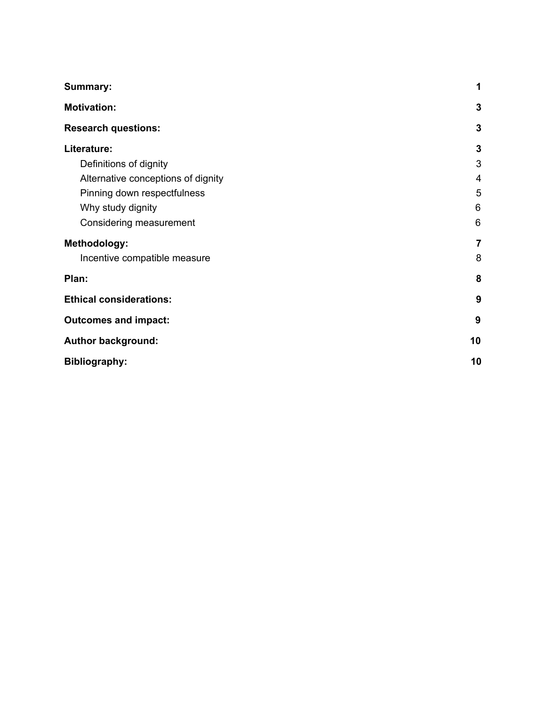| <b>Summary:</b>                    | 1              |
|------------------------------------|----------------|
| <b>Motivation:</b>                 | 3              |
| <b>Research questions:</b>         | $\mathbf{3}$   |
| Literature:                        | $\mathbf{3}$   |
| Definitions of dignity             | 3              |
| Alternative conceptions of dignity | 4              |
| Pinning down respectfulness        | 5              |
| Why study dignity                  | 6              |
| Considering measurement            | 6              |
| Methodology:                       | $\overline{7}$ |
| Incentive compatible measure       | 8              |
| Plan:                              | 8              |
| <b>Ethical considerations:</b>     | 9              |
| <b>Outcomes and impact:</b>        | 9              |
| <b>Author background:</b>          | 10             |
| <b>Bibliography:</b>               | 10             |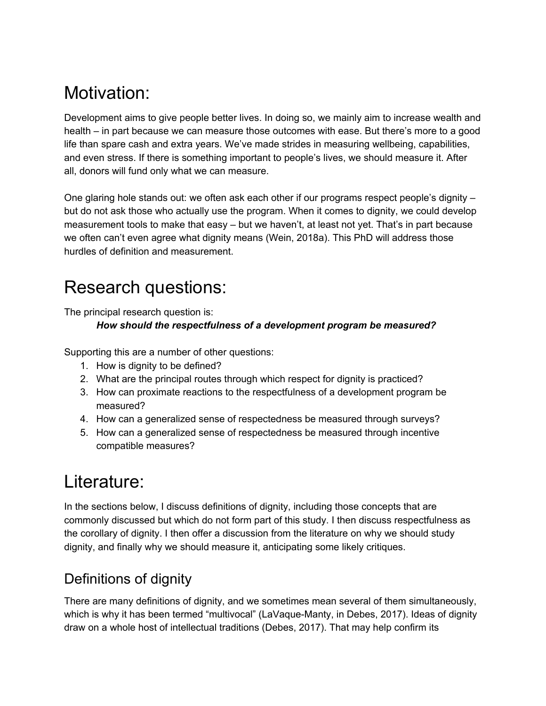### <span id="page-2-0"></span>Motivation:

Development aims to give people better lives. In doing so, we mainly aim to increase wealth and health – in part because we can measure those outcomes with ease. But there's more to a good life than spare cash and extra years. We've made strides in measuring wellbeing, capabilities, and even stress. If there is something important to people's lives, we should measure it. After all, donors will fund only what we can measure.

One glaring hole stands out: we often ask each other if our programs respect people's dignity – but do not ask those who actually use the program. When it comes to dignity, we could develop measurement tools to make that easy – but we haven't, at least not yet. That's in part because we often can't even agree what dignity means (Wein, 2018a). This PhD will address those hurdles of definition and measurement.

### <span id="page-2-1"></span>Research questions:

The principal research question is:

#### *How should the respectfulness of a development program be measured?*

Supporting this are a number of other questions:

- 1. How is dignity to be defined?
- 2. What are the principal routes through which respect for dignity is practiced?
- 3. How can proximate reactions to the respectfulness of a development program be measured?
- 4. How can a generalized sense of respectedness be measured through surveys?
- 5. How can a generalized sense of respectedness be measured through incentive compatible measures?

### <span id="page-2-2"></span>Literature:

In the sections below, I discuss definitions of dignity, including those concepts that are commonly discussed but which do not form part of this study. I then discuss respectfulness as the corollary of dignity. I then offer a discussion from the literature on why we should study dignity, and finally why we should measure it, anticipating some likely critiques.

#### <span id="page-2-3"></span>Definitions of dignity

There are many definitions of dignity, and we sometimes mean several of them simultaneously, which is why it has been termed "multivocal" (LaVaque-Manty, in Debes, 2017). Ideas of dignity draw on a whole host of intellectual traditions (Debes, 2017). That may help confirm its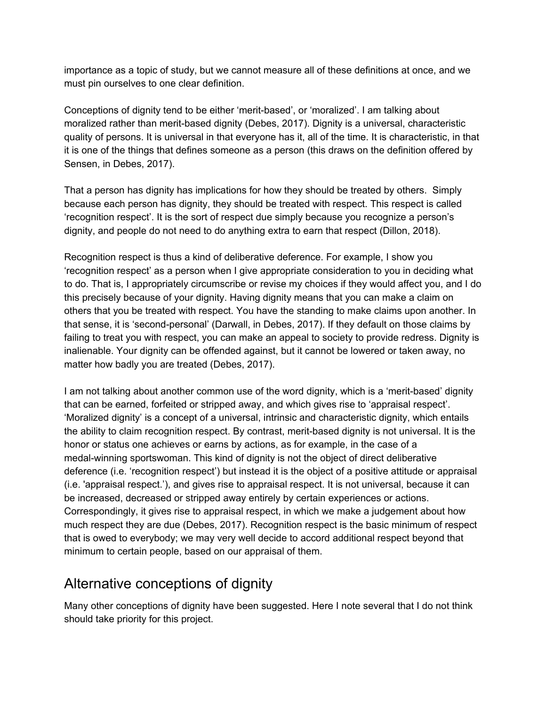importance as a topic of study, but we cannot measure all of these definitions at once, and we must pin ourselves to one clear definition.

Conceptions of dignity tend to be either 'merit-based', or 'moralized'. I am talking about moralized rather than merit-based dignity (Debes, 2017). Dignity is a universal, characteristic quality of persons. It is universal in that everyone has it, all of the time. It is characteristic, in that it is one of the things that defines someone as a person (this draws on the definition offered by Sensen, in Debes, 2017).

That a person has dignity has implications for how they should be treated by others. Simply because each person has dignity, they should be treated with respect. This respect is called 'recognition respect'. It is the sort of respect due simply because you recognize a person's dignity, and people do not need to do anything extra to earn that respect (Dillon, 2018).

Recognition respect is thus a kind of deliberative deference. For example, I show you 'recognition respect' as a person when I give appropriate consideration to you in deciding what to do. That is, I appropriately circumscribe or revise my choices if they would affect you, and I do this precisely because of your dignity. Having dignity means that you can make a claim on others that you be treated with respect. You have the standing to make claims upon another. In that sense, it is 'second-personal' (Darwall, in Debes, 2017). If they default on those claims by failing to treat you with respect, you can make an appeal to society to provide redress. Dignity is inalienable. Your dignity can be offended against, but it cannot be lowered or taken away, no matter how badly you are treated (Debes, 2017).

I am not talking about another common use of the word dignity, which is a 'merit-based' dignity that can be earned, forfeited or stripped away, and which gives rise to 'appraisal respect'. 'Moralized dignity' is a concept of a universal, intrinsic and characteristic dignity, which entails the ability to claim recognition respect. By contrast, merit-based dignity is not universal. It is the honor or status one achieves or earns by actions, as for example, in the case of a medal-winning sportswoman. This kind of dignity is not the object of direct deliberative deference (i.e. 'recognition respect') but instead it is the object of a positive attitude or appraisal (i.e. 'appraisal respect.'), and gives rise to appraisal respect. It is not universal, because it can be increased, decreased or stripped away entirely by certain experiences or actions. Correspondingly, it gives rise to appraisal respect, in which we make a judgement about how much respect they are due (Debes, 2017). Recognition respect is the basic minimum of respect that is owed to everybody; we may very well decide to accord additional respect beyond that minimum to certain people, based on our appraisal of them.

#### <span id="page-3-0"></span>Alternative conceptions of dignity

Many other conceptions of dignity have been suggested. Here I note several that I do not think should take priority for this project.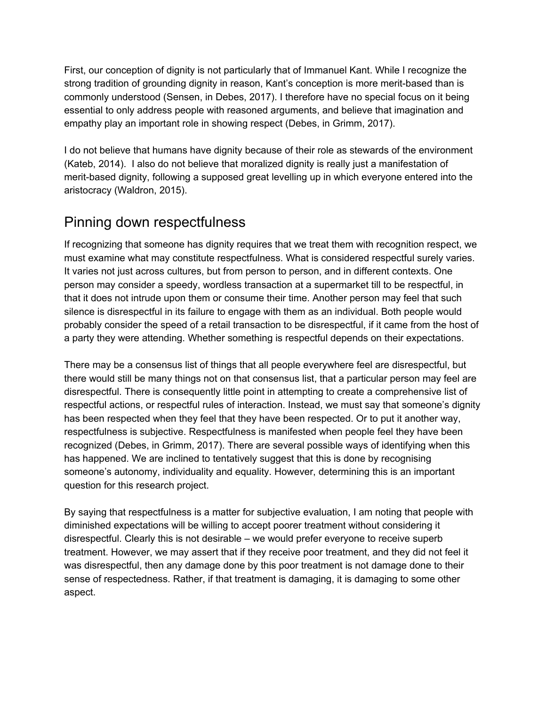First, our conception of dignity is not particularly that of Immanuel Kant. While I recognize the strong tradition of grounding dignity in reason, Kant's conception is more merit-based than is commonly understood (Sensen, in Debes, 2017). I therefore have no special focus on it being essential to only address people with reasoned arguments, and believe that imagination and empathy play an important role in showing respect (Debes, in Grimm, 2017).

I do not believe that humans have dignity because of their role as stewards of the environment (Kateb, 2014). I also do not believe that moralized dignity is really just a manifestation of merit-based dignity, following a supposed great levelling up in which everyone entered into the aristocracy (Waldron, 2015).

#### <span id="page-4-0"></span>Pinning down respectfulness

If recognizing that someone has dignity requires that we treat them with recognition respect, we must examine what may constitute respectfulness. What is considered respectful surely varies. It varies not just across cultures, but from person to person, and in different contexts. One person may consider a speedy, wordless transaction at a supermarket till to be respectful, in that it does not intrude upon them or consume their time. Another person may feel that such silence is disrespectful in its failure to engage with them as an individual. Both people would probably consider the speed of a retail transaction to be disrespectful, if it came from the host of a party they were attending. Whether something is respectful depends on their expectations.

There may be a consensus list of things that all people everywhere feel are disrespectful, but there would still be many things not on that consensus list, that a particular person may feel are disrespectful. There is consequently little point in attempting to create a comprehensive list of respectful actions, or respectful rules of interaction. Instead, we must say that someone's dignity has been respected when they feel that they have been respected. Or to put it another way, respectfulness is subjective. Respectfulness is manifested when people feel they have been recognized (Debes, in Grimm, 2017). There are several possible ways of identifying when this has happened. We are inclined to tentatively suggest that this is done by recognising someone's autonomy, individuality and equality. However, determining this is an important question for this research project.

By saying that respectfulness is a matter for subjective evaluation, I am noting that people with diminished expectations will be willing to accept poorer treatment without considering it disrespectful. Clearly this is not desirable – we would prefer everyone to receive superb treatment. However, we may assert that if they receive poor treatment, and they did not feel it was disrespectful, then any damage done by this poor treatment is not damage done to their sense of respectedness. Rather, if that treatment is damaging, it is damaging to some other aspect.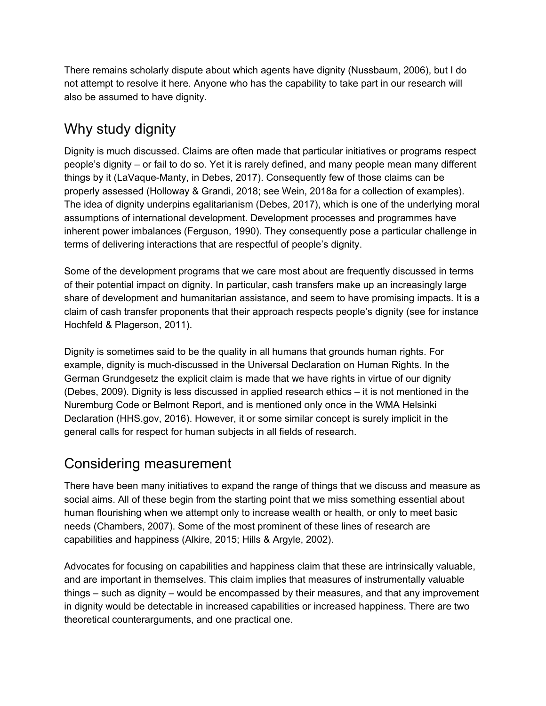There remains scholarly dispute about which agents have dignity (Nussbaum, 2006), but I do not attempt to resolve it here. Anyone who has the capability to take part in our research will also be assumed to have dignity.

#### <span id="page-5-0"></span>Why study dignity

Dignity is much discussed. Claims are often made that particular initiatives or programs respect people's dignity – or fail to do so. Yet it is rarely defined, and many people mean many different things by it (LaVaque-Manty, in Debes, 2017). Consequently few of those claims can be properly assessed (Holloway & Grandi, 2018; see Wein, 2018a for a collection of examples). The idea of dignity underpins egalitarianism (Debes, 2017), which is one of the underlying moral assumptions of international development. Development processes and programmes have inherent power imbalances (Ferguson, 1990). They consequently pose a particular challenge in terms of delivering interactions that are respectful of people's dignity.

Some of the development programs that we care most about are frequently discussed in terms of their potential impact on dignity. In particular, cash transfers make up an increasingly large share of development and humanitarian assistance, and seem to have promising impacts. It is a claim of cash transfer proponents that their approach respects people's dignity (see for instance Hochfeld & Plagerson, 2011).

Dignity is sometimes said to be the quality in all humans that grounds human rights. For example, dignity is much-discussed in the Universal Declaration on Human Rights. In the German Grundgesetz the explicit claim is made that we have rights in virtue of our dignity (Debes, 2009). Dignity is less discussed in applied research ethics – it is not mentioned in the Nuremburg Code or Belmont Report, and is mentioned only once in the WMA Helsinki Declaration (HHS.gov, 2016). However, it or some similar concept is surely implicit in the general calls for respect for human subjects in all fields of research.

#### <span id="page-5-1"></span>Considering measurement

There have been many initiatives to expand the range of things that we discuss and measure as social aims. All of these begin from the starting point that we miss something essential about human flourishing when we attempt only to increase wealth or health, or only to meet basic needs (Chambers, 2007). Some of the most prominent of these lines of research are capabilities and happiness (Alkire, 2015; Hills & Argyle, 2002).

Advocates for focusing on capabilities and happiness claim that these are intrinsically valuable, and are important in themselves. This claim implies that measures of instrumentally valuable things – such as dignity – would be encompassed by their measures, and that any improvement in dignity would be detectable in increased capabilities or increased happiness. There are two theoretical counterarguments, and one practical one.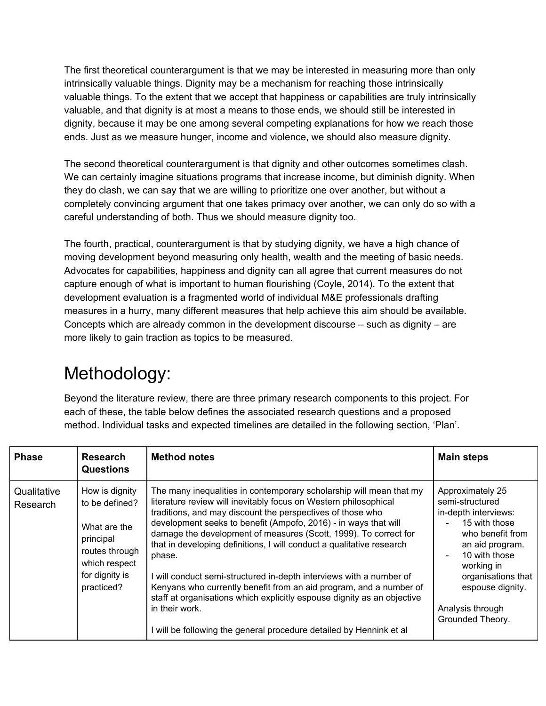The first theoretical counterargument is that we may be interested in measuring more than only intrinsically valuable things. Dignity may be a mechanism for reaching those intrinsically valuable things. To the extent that we accept that happiness or capabilities are truly intrinsically valuable, and that dignity is at most a means to those ends, we should still be interested in dignity, because it may be one among several competing explanations for how we reach those ends. Just as we measure hunger, income and violence, we should also measure dignity.

The second theoretical counterargument is that dignity and other outcomes sometimes clash. We can certainly imagine situations programs that increase income, but diminish dignity. When they do clash, we can say that we are willing to prioritize one over another, but without a completely convincing argument that one takes primacy over another, we can only do so with a careful understanding of both. Thus we should measure dignity too.

The fourth, practical, counterargument is that by studying dignity, we have a high chance of moving development beyond measuring only health, wealth and the meeting of basic needs. Advocates for capabilities, happiness and dignity can all agree that current measures do not capture enough of what is important to human flourishing (Coyle, 2014). To the extent that development evaluation is a fragmented world of individual M&E professionals drafting measures in a hurry, many different measures that help achieve this aim should be available. Concepts which are already common in the development discourse – such as dignity – are more likely to gain traction as topics to be measured.

### <span id="page-6-0"></span>Methodology:

Beyond the literature review, there are three primary research components to this project. For each of these, the table below defines the associated research questions and a proposed method. Individual tasks and expected timelines are detailed in the following section, 'Plan'.

| <b>Phase</b>            | <b>Research</b><br><b>Questions</b>                                                                                              | <b>Method notes</b>                                                                                                                                                                                                                                                                                                                                                                                                                                                                                                                                                                                                                                                                                                                            | <b>Main steps</b>                                                                                                                                                                                                                    |
|-------------------------|----------------------------------------------------------------------------------------------------------------------------------|------------------------------------------------------------------------------------------------------------------------------------------------------------------------------------------------------------------------------------------------------------------------------------------------------------------------------------------------------------------------------------------------------------------------------------------------------------------------------------------------------------------------------------------------------------------------------------------------------------------------------------------------------------------------------------------------------------------------------------------------|--------------------------------------------------------------------------------------------------------------------------------------------------------------------------------------------------------------------------------------|
| Qualitative<br>Research | How is dignity<br>to be defined?<br>What are the<br>principal<br>routes through<br>which respect<br>for dignity is<br>practiced? | The many inequalities in contemporary scholarship will mean that my<br>literature review will inevitably focus on Western philosophical<br>traditions, and may discount the perspectives of those who<br>development seeks to benefit (Ampofo, 2016) - in ways that will<br>damage the development of measures (Scott, 1999). To correct for<br>that in developing definitions, I will conduct a qualitative research<br>phase.<br>I will conduct semi-structured in-depth interviews with a number of<br>Kenyans who currently benefit from an aid program, and a number of<br>staff at organisations which explicitly espouse dignity as an objective<br>in their work.<br>will be following the general procedure detailed by Hennink et al | Approximately 25<br>semi-structured<br>in-depth interviews:<br>15 with those<br>who benefit from<br>an aid program.<br>10 with those<br>working in<br>organisations that<br>espouse dignity.<br>Analysis through<br>Grounded Theory. |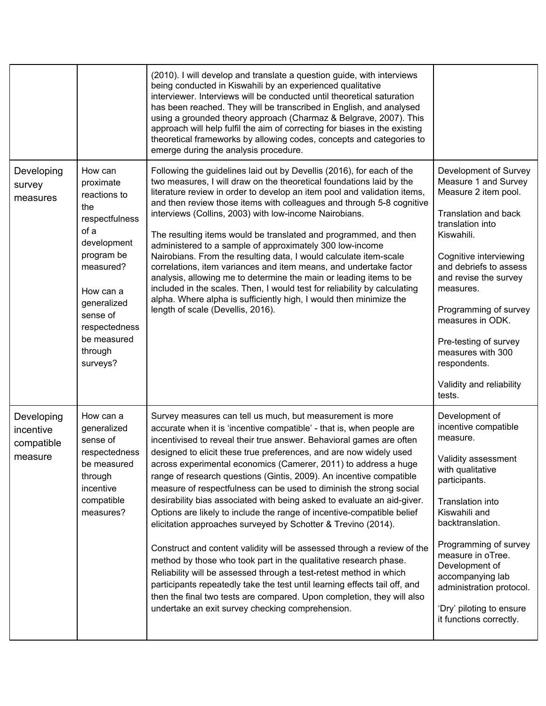|                                                  |                                                                                                                                                                                                                | (2010). I will develop and translate a question guide, with interviews<br>being conducted in Kiswahili by an experienced qualitative<br>interviewer. Interviews will be conducted until theoretical saturation<br>has been reached. They will be transcribed in English, and analysed<br>using a grounded theory approach (Charmaz & Belgrave, 2007). This<br>approach will help fulfil the aim of correcting for biases in the existing<br>theoretical frameworks by allowing codes, concepts and categories to<br>emerge during the analysis procedure.                                                                                                                                                                                                                                                                                                                                                                                                                                                                                                                                                                                                |                                                                                                                                                                                                                                                                                                                                                                            |
|--------------------------------------------------|----------------------------------------------------------------------------------------------------------------------------------------------------------------------------------------------------------------|----------------------------------------------------------------------------------------------------------------------------------------------------------------------------------------------------------------------------------------------------------------------------------------------------------------------------------------------------------------------------------------------------------------------------------------------------------------------------------------------------------------------------------------------------------------------------------------------------------------------------------------------------------------------------------------------------------------------------------------------------------------------------------------------------------------------------------------------------------------------------------------------------------------------------------------------------------------------------------------------------------------------------------------------------------------------------------------------------------------------------------------------------------|----------------------------------------------------------------------------------------------------------------------------------------------------------------------------------------------------------------------------------------------------------------------------------------------------------------------------------------------------------------------------|
| Developing<br>survey<br>measures                 | How can<br>proximate<br>reactions to<br>the<br>respectfulness<br>of a<br>development<br>program be<br>measured?<br>How can a<br>generalized<br>sense of<br>respectedness<br>be measured<br>through<br>surveys? | Following the guidelines laid out by Devellis (2016), for each of the<br>two measures, I will draw on the theoretical foundations laid by the<br>literature review in order to develop an item pool and validation items,<br>and then review those items with colleagues and through 5-8 cognitive<br>interviews (Collins, 2003) with low-income Nairobians.<br>The resulting items would be translated and programmed, and then<br>administered to a sample of approximately 300 low-income<br>Nairobians. From the resulting data, I would calculate item-scale<br>correlations, item variances and item means, and undertake factor<br>analysis, allowing me to determine the main or leading items to be<br>included in the scales. Then, I would test for reliability by calculating<br>alpha. Where alpha is sufficiently high, I would then minimize the<br>length of scale (Devellis, 2016).                                                                                                                                                                                                                                                     | Development of Survey<br>Measure 1 and Survey<br>Measure 2 item pool.<br>Translation and back<br>translation into<br>Kiswahili.<br>Cognitive interviewing<br>and debriefs to assess<br>and revise the survey<br>measures.<br>Programming of survey<br>measures in ODK.<br>Pre-testing of survey<br>measures with 300<br>respondents.<br>Validity and reliability<br>tests. |
| Developing<br>incentive<br>compatible<br>measure | How can a<br>generalized<br>sense of<br>respectedness<br>be measured<br>through<br>incentive<br>compatible<br>measures?                                                                                        | Survey measures can tell us much, but measurement is more<br>accurate when it is 'incentive compatible' - that is, when people are<br>incentivised to reveal their true answer. Behavioral games are often<br>designed to elicit these true preferences, and are now widely used<br>across experimental economics (Camerer, 2011) to address a huge<br>range of research questions (Gintis, 2009). An incentive compatible<br>measure of respectfulness can be used to diminish the strong social<br>desirability bias associated with being asked to evaluate an aid-giver.<br>Options are likely to include the range of incentive-compatible belief<br>elicitation approaches surveyed by Schotter & Trevino (2014).<br>Construct and content validity will be assessed through a review of the<br>method by those who took part in the qualitative research phase.<br>Reliability will be assessed through a test-retest method in which<br>participants repeatedly take the test until learning effects tail off, and<br>then the final two tests are compared. Upon completion, they will also<br>undertake an exit survey checking comprehension. | Development of<br>incentive compatible<br>measure.<br>Validity assessment<br>with qualitative<br>participants.<br>Translation into<br>Kiswahili and<br>backtranslation.<br>Programming of survey<br>measure in oTree.<br>Development of<br>accompanying lab<br>administration protocol.<br>'Dry' piloting to ensure<br>it functions correctly.                             |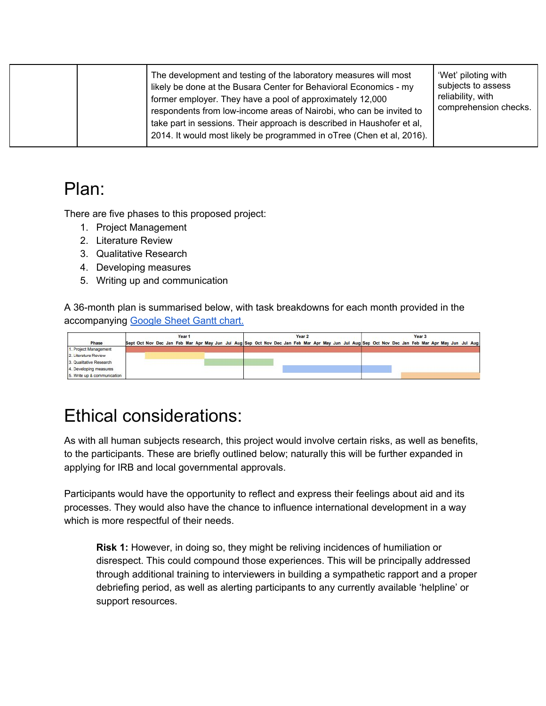|  | The development and testing of the laboratory measures will most<br>likely be done at the Busara Center for Behavioral Economics - my<br>former employer. They have a pool of approximately 12,000<br>respondents from low-income areas of Nairobi, who can be invited to<br>take part in sessions. Their approach is described in Haushofer et al,<br>2014. It would most likely be programmed in oTree (Chen et al, 2016). | 'Wet' piloting with<br>subjects to assess<br>reliability, with<br>comprehension checks. |
|--|------------------------------------------------------------------------------------------------------------------------------------------------------------------------------------------------------------------------------------------------------------------------------------------------------------------------------------------------------------------------------------------------------------------------------|-----------------------------------------------------------------------------------------|
|--|------------------------------------------------------------------------------------------------------------------------------------------------------------------------------------------------------------------------------------------------------------------------------------------------------------------------------------------------------------------------------------------------------------------------------|-----------------------------------------------------------------------------------------|

### <span id="page-8-0"></span>Plan:

There are five phases to this proposed project:

- 1. Project Management
- 2. Literature Review
- 3. Qualitative Research
- 4. Developing measures
- 5. Writing up and communication

A 36-month plan is summarised below, with task breakdowns for each month provided in the accompanying [Google](https://docs.google.com/spreadsheets/d/1R47qdVxP_RsBH8Gjm6w7b0GGspxM18_cUPI1wugTV0I/edit?usp=sharing) Sheet Gantt chart.

|                             | Year 1                                                                                                                                           |  |  |  |  |  |  |  |  | Year 2 |  |  |  |  |  |  |  |  |  |  |  | Year <sub>3</sub> |  |  |  |  |  |  |  |  |  |  |  |
|-----------------------------|--------------------------------------------------------------------------------------------------------------------------------------------------|--|--|--|--|--|--|--|--|--------|--|--|--|--|--|--|--|--|--|--|--|-------------------|--|--|--|--|--|--|--|--|--|--|--|
| Phase                       | Sept Oct Nov Dec Jan Feb Mar Apr May Jun Jul Aug Sep Oct Nov Dec Jan Feb Mar Apr May Jun Jul Aug Sep Oct Nov Dec Jan Feb Mar Apr May Jun Jul Aug |  |  |  |  |  |  |  |  |        |  |  |  |  |  |  |  |  |  |  |  |                   |  |  |  |  |  |  |  |  |  |  |  |
| 1. Project Management       |                                                                                                                                                  |  |  |  |  |  |  |  |  |        |  |  |  |  |  |  |  |  |  |  |  |                   |  |  |  |  |  |  |  |  |  |  |  |
| 2. Literature Review        |                                                                                                                                                  |  |  |  |  |  |  |  |  |        |  |  |  |  |  |  |  |  |  |  |  |                   |  |  |  |  |  |  |  |  |  |  |  |
| 3. Qualitative Research     |                                                                                                                                                  |  |  |  |  |  |  |  |  |        |  |  |  |  |  |  |  |  |  |  |  |                   |  |  |  |  |  |  |  |  |  |  |  |
| 4. Developing measures      |                                                                                                                                                  |  |  |  |  |  |  |  |  |        |  |  |  |  |  |  |  |  |  |  |  |                   |  |  |  |  |  |  |  |  |  |  |  |
| 5. Write up & communication |                                                                                                                                                  |  |  |  |  |  |  |  |  |        |  |  |  |  |  |  |  |  |  |  |  |                   |  |  |  |  |  |  |  |  |  |  |  |

### <span id="page-8-1"></span>Ethical considerations:

As with all human subjects research, this project would involve certain risks, as well as benefits, to the participants. These are briefly outlined below; naturally this will be further expanded in applying for IRB and local governmental approvals.

Participants would have the opportunity to reflect and express their feelings about aid and its processes. They would also have the chance to influence international development in a way which is more respectful of their needs.

**Risk 1:** However, in doing so, they might be reliving incidences of humiliation or disrespect. This could compound those experiences. This will be principally addressed through additional training to interviewers in building a sympathetic rapport and a proper debriefing period, as well as alerting participants to any currently available 'helpline' or support resources.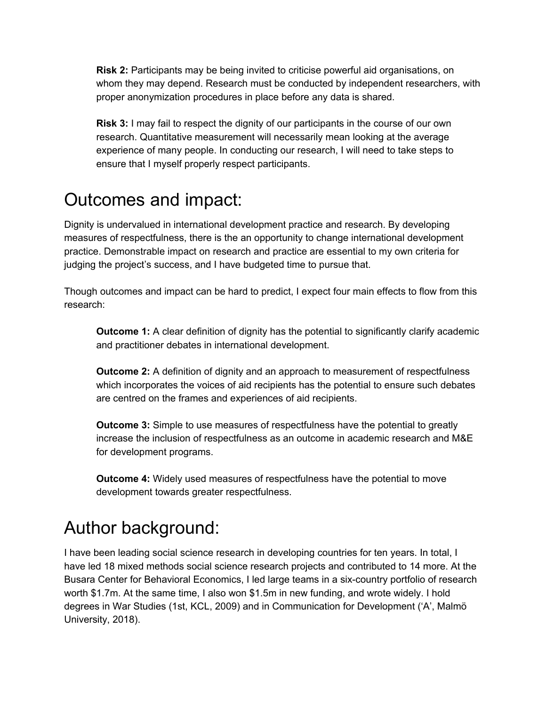**Risk 2:** Participants may be being invited to criticise powerful aid organisations, on whom they may depend. Research must be conducted by independent researchers, with proper anonymization procedures in place before any data is shared.

**Risk 3:** I may fail to respect the dignity of our participants in the course of our own research. Quantitative measurement will necessarily mean looking at the average experience of many people. In conducting our research, I will need to take steps to ensure that I myself properly respect participants.

### <span id="page-9-0"></span>Outcomes and impact:

Dignity is undervalued in international development practice and research. By developing measures of respectfulness, there is the an opportunity to change international development practice. Demonstrable impact on research and practice are essential to my own criteria for judging the project's success, and I have budgeted time to pursue that.

Though outcomes and impact can be hard to predict, I expect four main effects to flow from this research:

**Outcome 1:** A clear definition of dignity has the potential to significantly clarify academic and practitioner debates in international development.

**Outcome 2:** A definition of dignity and an approach to measurement of respectfulness which incorporates the voices of aid recipients has the potential to ensure such debates are centred on the frames and experiences of aid recipients.

**Outcome 3:** Simple to use measures of respectfulness have the potential to greatly increase the inclusion of respectfulness as an outcome in academic research and M&E for development programs.

**Outcome 4:** Widely used measures of respectfulness have the potential to move development towards greater respectfulness.

### <span id="page-9-1"></span>Author background:

I have been leading social science research in developing countries for ten years. In total, I have led 18 mixed methods social science research projects and contributed to 14 more. At the Busara Center for Behavioral Economics, I led large teams in a six-country portfolio of research worth \$1.7m. At the same time, I also won \$1.5m in new funding, and wrote widely. I hold degrees in War Studies (1st, KCL, 2009) and in Communication for Development ('A', Malmö University, 2018).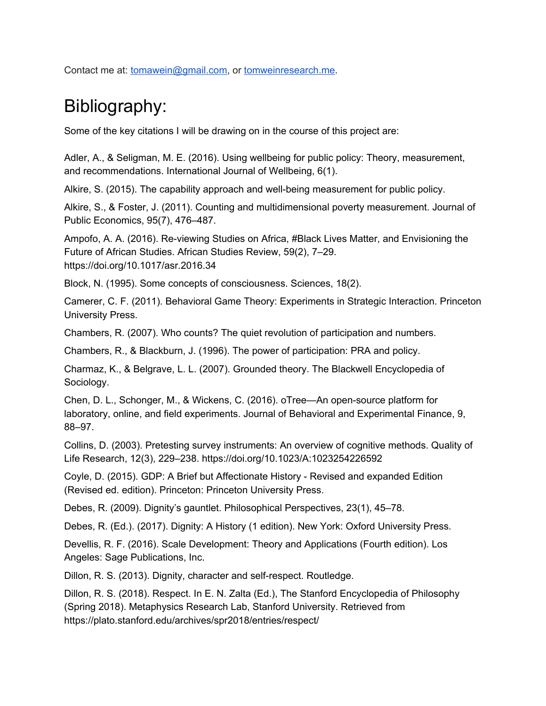<span id="page-10-0"></span>Contact me at: [tomawein@gmail.com,](mailto:tomawein@gmail.com) or [tomweinresearch.me.](http://tomweinresearch.me/)

### Bibliography:

Some of the key citations I will be drawing on in the course of this project are:

Adler, A., & Seligman, M. E. (2016). Using wellbeing for public policy: Theory, measurement, and recommendations. International Journal of Wellbeing, 6(1).

Alkire, S. (2015). The capability approach and well-being measurement for public policy.

Alkire, S., & Foster, J. (2011). Counting and multidimensional poverty measurement. Journal of Public Economics, 95(7), 476–487.

Ampofo, A. A. (2016). Re-viewing Studies on Africa, #Black Lives Matter, and Envisioning the Future of African Studies. African Studies Review, 59(2), 7–29. https://doi.org/10.1017/asr.2016.34

Block, N. (1995). Some concepts of consciousness. Sciences, 18(2).

Camerer, C. F. (2011). Behavioral Game Theory: Experiments in Strategic Interaction. Princeton University Press.

Chambers, R. (2007). Who counts? The quiet revolution of participation and numbers.

Chambers, R., & Blackburn, J. (1996). The power of participation: PRA and policy.

Charmaz, K., & Belgrave, L. L. (2007). Grounded theory. The Blackwell Encyclopedia of Sociology.

Chen, D. L., Schonger, M., & Wickens, C. (2016). oTree—An open-source platform for laboratory, online, and field experiments. Journal of Behavioral and Experimental Finance, 9, 88–97.

Collins, D. (2003). Pretesting survey instruments: An overview of cognitive methods. Quality of Life Research, 12(3), 229–238. https://doi.org/10.1023/A:1023254226592

Coyle, D. (2015). GDP: A Brief but Affectionate History - Revised and expanded Edition (Revised ed. edition). Princeton: Princeton University Press.

Debes, R. (2009). Dignity's gauntlet. Philosophical Perspectives, 23(1), 45–78.

Debes, R. (Ed.). (2017). Dignity: A History (1 edition). New York: Oxford University Press.

Devellis, R. F. (2016). Scale Development: Theory and Applications (Fourth edition). Los Angeles: Sage Publications, Inc.

Dillon, R. S. (2013). Dignity, character and self-respect. Routledge.

Dillon, R. S. (2018). Respect. In E. N. Zalta (Ed.), The Stanford Encyclopedia of Philosophy (Spring 2018). Metaphysics Research Lab, Stanford University. Retrieved from https://plato.stanford.edu/archives/spr2018/entries/respect/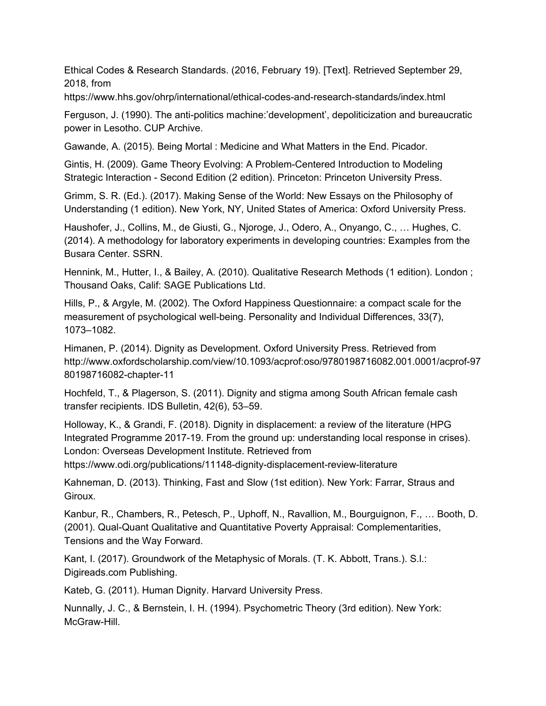Ethical Codes & Research Standards. (2016, February 19). [Text]. Retrieved September 29, 2018, from

https://www.hhs.gov/ohrp/international/ethical-codes-and-research-standards/index.html

Ferguson, J. (1990). The anti-politics machine:'development', depoliticization and bureaucratic power in Lesotho. CUP Archive.

Gawande, A. (2015). Being Mortal : Medicine and What Matters in the End. Picador.

Gintis, H. (2009). Game Theory Evolving: A Problem-Centered Introduction to Modeling Strategic Interaction - Second Edition (2 edition). Princeton: Princeton University Press.

Grimm, S. R. (Ed.). (2017). Making Sense of the World: New Essays on the Philosophy of Understanding (1 edition). New York, NY, United States of America: Oxford University Press.

Haushofer, J., Collins, M., de Giusti, G., Njoroge, J., Odero, A., Onyango, C., … Hughes, C. (2014). A methodology for laboratory experiments in developing countries: Examples from the Busara Center. SSRN.

Hennink, M., Hutter, I., & Bailey, A. (2010). Qualitative Research Methods (1 edition). London ; Thousand Oaks, Calif: SAGE Publications Ltd.

Hills, P., & Argyle, M. (2002). The Oxford Happiness Questionnaire: a compact scale for the measurement of psychological well-being. Personality and Individual Differences, 33(7), 1073–1082.

Himanen, P. (2014). Dignity as Development. Oxford University Press. Retrieved from http://www.oxfordscholarship.com/view/10.1093/acprof:oso/9780198716082.001.0001/acprof-97 80198716082-chapter-11

Hochfeld, T., & Plagerson, S. (2011). Dignity and stigma among South African female cash transfer recipients. IDS Bulletin, 42(6), 53–59.

Holloway, K., & Grandi, F. (2018). Dignity in displacement: a review of the literature (HPG Integrated Programme 2017-19. From the ground up: understanding local response in crises). London: Overseas Development Institute. Retrieved from

https://www.odi.org/publications/11148-dignity-displacement-review-literature

Kahneman, D. (2013). Thinking, Fast and Slow (1st edition). New York: Farrar, Straus and Giroux.

Kanbur, R., Chambers, R., Petesch, P., Uphoff, N., Ravallion, M., Bourguignon, F., … Booth, D. (2001). Qual-Quant Qualitative and Quantitative Poverty Appraisal: Complementarities, Tensions and the Way Forward.

Kant, I. (2017). Groundwork of the Metaphysic of Morals. (T. K. Abbott, Trans.). S.l.: Digireads.com Publishing.

Kateb, G. (2011). Human Dignity. Harvard University Press.

Nunnally, J. C., & Bernstein, I. H. (1994). Psychometric Theory (3rd edition). New York: McGraw-Hill.